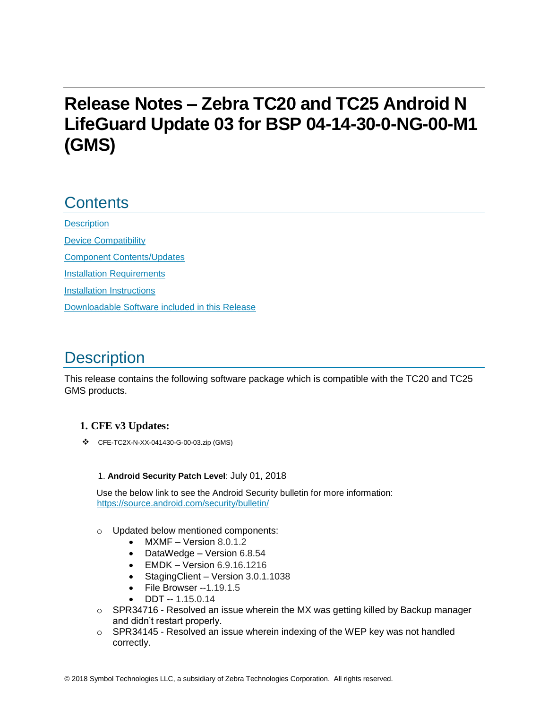# **Release Notes – Zebra TC20 and TC25 Android N LifeGuard Update 03 for BSP 04-14-30-0-NG-00-M1 (GMS)**

## **Contents**

**[Description](#page-0-0)** [Device Compatibility](#page-2-0) [Component Contents/Updates](#page-3-0) [Installation Requirements](#page-3-1) [Installation Instructions](#page-4-0) [Downloadable Software included in this Release](#page-5-0) 

# <span id="page-0-0"></span>**Description**

This release contains the following software package which is compatible with the TC20 and TC25 GMS products.

### **1. CFE v3 Updates:**

❖ CFE-TC2X-N-XX-041430-G-00-03.zip (GMS)

#### 1. **Android Security Patch Level**: July 01, 2018

Use the below link to see the Android Security bulletin for more information: <https://source.android.com/security/bulletin/>

- o Updated below mentioned components:
	- MXMF Version 8.0.1.2
	- DataWedge Version 6.8.54
	- $\bullet$  EMDK Version 6.9.16.1216
	- Staging Client Version 3.0.1.1038
	- File Browser -- 1.19.1.5
	- $\bullet$  DDT -- 1.15.0.14
- $\circ$  SPR34716 Resolved an issue wherein the MX was getting killed by Backup manager and didn't restart properly.
- $\circ$  SPR34145 Resolved an issue wherein indexing of the WEP key was not handled correctly.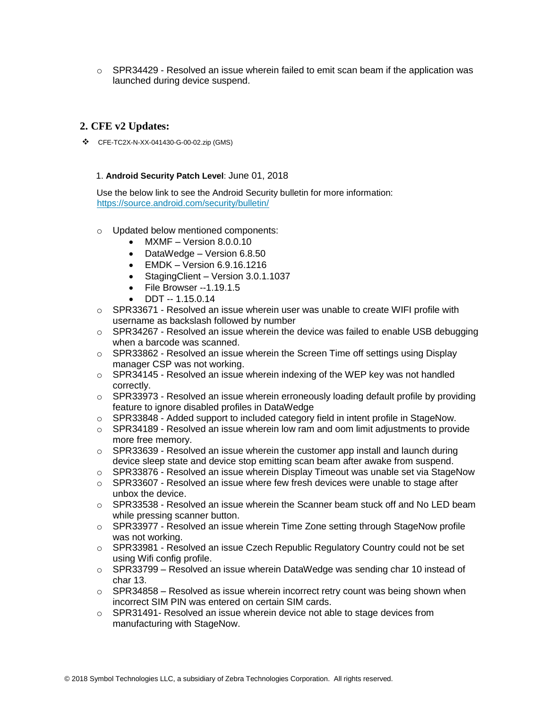$\circ$  SPR34429 - Resolved an issue wherein failed to emit scan beam if the application was launched during device suspend.

#### **2. CFE v2 Updates:**

❖ CFE-TC2X-N-XX-041430-G-00-02.zip (GMS)

#### 1. **Android Security Patch Level**: June 01, 2018

Use the below link to see the Android Security bulletin for more information: <https://source.android.com/security/bulletin/>

- o Updated below mentioned components:
	- MXMF Version 8.0.0.10
	- DataWedge Version 6.8.50
	- EMDK Version 6.9.16.1216
	- Staging Client Version 3.0.1.1037
	- File Browser --1.19.1.5
	- DDT -- 1.15.0.14
- $\circ$  SPR33671 Resolved an issue wherein user was unable to create WIFI profile with username as backslash followed by number
- $\circ$  SPR34267 Resolved an issue wherein the device was failed to enable USB debugging when a barcode was scanned.
- $\circ$  SPR33862 Resolved an issue wherein the Screen Time off settings using Display manager CSP was not working.
- $\circ$  SPR34145 Resolved an issue wherein indexing of the WEP key was not handled correctly.
- $\circ$  SPR33973 Resolved an issue wherein erroneously loading default profile by providing feature to ignore disabled profiles in DataWedge
- o SPR33848 Added support to included category field in intent profile in StageNow.
- $\circ$  SPR34189 Resolved an issue wherein low ram and oom limit adjustments to provide more free memory.
- $\circ$  SPR33639 Resolved an issue wherein the customer app install and launch during device sleep state and device stop emitting scan beam after awake from suspend.
- $\circ$  SPR33876 Resolved an issue wherein Display Timeout was unable set via StageNow
- $\circ$  SPR33607 Resolved an issue where few fresh devices were unable to stage after unbox the device.
- $\circ$  SPR33538 Resolved an issue wherein the Scanner beam stuck off and No LED beam while pressing scanner button.
- $\circ$  SPR33977 Resolved an issue wherein Time Zone setting through StageNow profile was not working.
- $\circ$  SPR33981 Resolved an issue Czech Republic Regulatory Country could not be set using Wifi config profile.
- $\circ$  SPR33799 Resolved an issue wherein DataWedge was sending char 10 instead of char 13.
- $\circ$  SPR34858 Resolved as issue wherein incorrect retry count was being shown when incorrect SIM PIN was entered on certain SIM cards.
- $\circ$  SPR31491- Resolved an issue wherein device not able to stage devices from manufacturing with StageNow.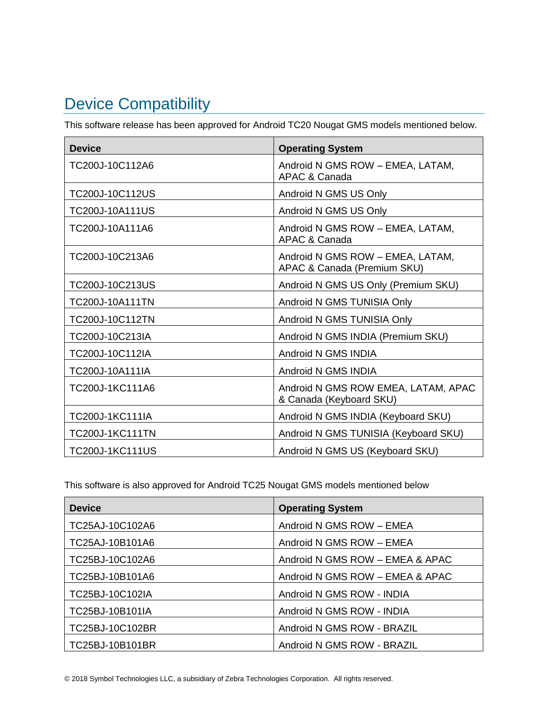# <span id="page-2-0"></span>Device Compatibility

This software release has been approved for Android TC20 Nougat GMS models mentioned below.

| <b>Device</b>          | <b>Operating System</b>                                         |
|------------------------|-----------------------------------------------------------------|
| TC200J-10C112A6        | Android N GMS ROW - EMEA, LATAM,<br>APAC & Canada               |
| TC200J-10C112US        | Android N GMS US Only                                           |
| TC200J-10A111US        | Android N GMS US Only                                           |
| TC200J-10A111A6        | Android N GMS ROW - EMEA, LATAM,<br>APAC & Canada               |
| TC200J-10C213A6        | Android N GMS ROW - EMEA, LATAM,<br>APAC & Canada (Premium SKU) |
| TC200J-10C213US        | Android N GMS US Only (Premium SKU)                             |
| TC200J-10A111TN        | Android N GMS TUNISIA Only                                      |
| TC200J-10C112TN        | Android N GMS TUNISIA Only                                      |
| TC200J-10C213IA        | Android N GMS INDIA (Premium SKU)                               |
| TC200J-10C112IA        | Android N GMS INDIA                                             |
| TC200J-10A111IA        | Android N GMS INDIA                                             |
| TC200J-1KC111A6        | Android N GMS ROW EMEA, LATAM, APAC<br>& Canada (Keyboard SKU)  |
| TC200J-1KC111IA        | Android N GMS INDIA (Keyboard SKU)                              |
| <b>TC200J-1KC111TN</b> | Android N GMS TUNISIA (Keyboard SKU)                            |
| <b>TC200J-1KC111US</b> | Android N GMS US (Keyboard SKU)                                 |

This software is also approved for Android TC25 Nougat GMS models mentioned below

| <b>Device</b>   | <b>Operating System</b>         |
|-----------------|---------------------------------|
| TC25AJ-10C102A6 | Android N GMS ROW - EMEA        |
| TC25AJ-10B101A6 | Android N GMS ROW - EMEA        |
| TC25BJ-10C102A6 | Android N GMS ROW - EMEA & APAC |
| TC25BJ-10B101A6 | Android N GMS ROW - EMEA & APAC |
| TC25BJ-10C102IA | Android N GMS ROW - INDIA       |
| TC25BJ-10B101IA | Android N GMS ROW - INDIA       |
| TC25BJ-10C102BR | Android N GMS ROW - BRAZIL      |
| TC25BJ-10B101BR | Android N GMS ROW - BRAZIL      |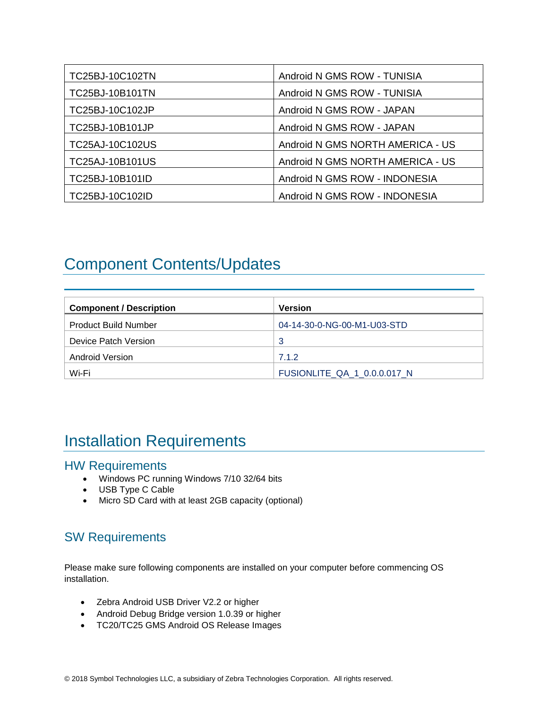| TC25BJ-10C102TN        | Android N GMS ROW - TUNISIA      |
|------------------------|----------------------------------|
| <b>TC25BJ-10B101TN</b> | Android N GMS ROW - TUNISIA      |
| TC25BJ-10C102JP        | Android N GMS ROW - JAPAN        |
| TC25BJ-10B101JP        | Android N GMS ROW - JAPAN        |
| TC25AJ-10C102US        | Android N GMS NORTH AMERICA - US |
| TC25AJ-10B101US        | Android N GMS NORTH AMERICA - US |
| TC25BJ-10B101ID        | Android N GMS ROW - INDONESIA    |
| TC25BJ-10C102ID        | Android N GMS ROW - INDONESIA    |

# <span id="page-3-0"></span>Component Contents/Updates

| <b>Component / Description</b> | <b>Version</b>              |
|--------------------------------|-----------------------------|
| <b>Product Build Number</b>    | 04-14-30-0-NG-00-M1-U03-STD |
| Device Patch Version           | 3                           |
| Android Version                | 7.1.2                       |
| Wi-Fi                          | FUSIONLITE QA 1 0.0.0.017 N |

## <span id="page-3-1"></span>Installation Requirements

### HW Requirements

- Windows PC running Windows 7/10 32/64 bits
- USB Type C Cable
- Micro SD Card with at least 2GB capacity (optional)

### SW Requirements

Please make sure following components are installed on your computer before commencing OS installation.

- Zebra Android USB Driver V2.2 or higher
- Android Debug Bridge version 1.0.39 or higher
- TC20/TC25 GMS Android OS Release Images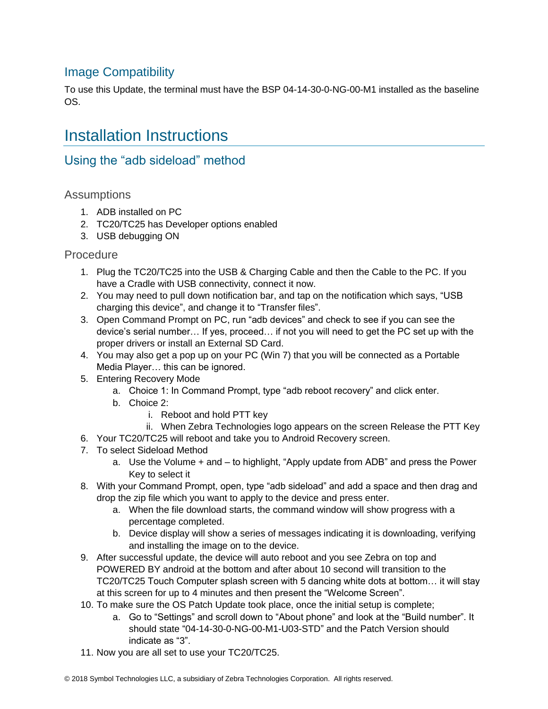### Image Compatibility

To use this Update, the terminal must have the BSP 04-14-30-0-NG-00-M1 installed as the baseline OS.

## <span id="page-4-0"></span>Installation Instructions

### Using the "adb sideload" method

### **Assumptions**

- 1. ADB installed on PC
- 2. TC20/TC25 has Developer options enabled
- 3. USB debugging ON

#### Procedure

- 1. Plug the TC20/TC25 into the USB & Charging Cable and then the Cable to the PC. If you have a Cradle with USB connectivity, connect it now.
- 2. You may need to pull down notification bar, and tap on the notification which says, "USB charging this device", and change it to "Transfer files".
- 3. Open Command Prompt on PC, run "adb devices" and check to see if you can see the device's serial number… If yes, proceed… if not you will need to get the PC set up with the proper drivers or install an External SD Card.
- 4. You may also get a pop up on your PC (Win 7) that you will be connected as a Portable Media Player… this can be ignored.
- 5. Entering Recovery Mode
	- a. Choice 1: In Command Prompt, type "adb reboot recovery" and click enter.
	- b. Choice 2:
		- i. Reboot and hold PTT key
- ii. When Zebra Technologies logo appears on the screen Release the PTT Key
- 6. Your TC20/TC25 will reboot and take you to Android Recovery screen.
- 7. To select Sideload Method
	- a. Use the Volume + and to highlight, "Apply update from ADB" and press the Power Key to select it
- 8. With your Command Prompt, open, type "adb sideload" and add a space and then drag and drop the zip file which you want to apply to the device and press enter.
	- a. When the file download starts, the command window will show progress with a percentage completed.
	- b. Device display will show a series of messages indicating it is downloading, verifying and installing the image on to the device.
- 9. After successful update, the device will auto reboot and you see Zebra on top and POWERED BY android at the bottom and after about 10 second will transition to the TC20/TC25 Touch Computer splash screen with 5 dancing white dots at bottom… it will stay at this screen for up to 4 minutes and then present the "Welcome Screen".
- 10. To make sure the OS Patch Update took place, once the initial setup is complete;
	- a. Go to "Settings" and scroll down to "About phone" and look at the "Build number". It should state "04-14-30-0-NG-00-M1-U03-STD" and the Patch Version should indicate as "3".
- 11. Now you are all set to use your TC20/TC25.